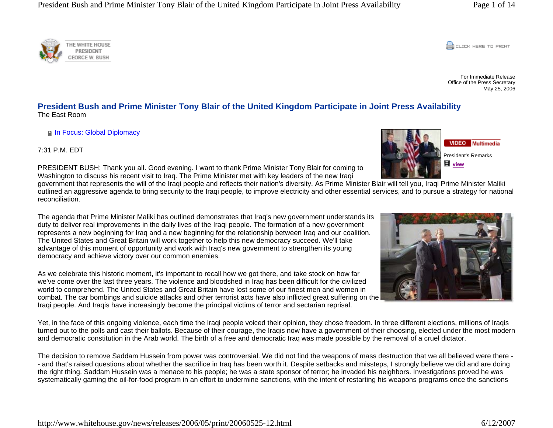**CONCRETE PRINT** 

For Immediate ReleaseOffice of the Press Secretary May 25, 2006

## **President Bush and Prime Minister Tony Blair of the United Kingdom Participate in Joint Press Availability**  The East Room

**F In Focus: Global Diplomacy** 

7:31 P.M. EDT

PRESIDENT BUSH: Thank you all. Good evening. I want to thank Prime Minister Tony Blair for coming to Washington to discuss his recent visit to Iraq. The Prime Minister met with key leaders of the new Iraqi

government that represents the will of the Iraqi people and reflects their nation's diversity. As Prime Minister Blair will tell you, Iraqi Prime Minister Maliki outlined an aggressive agenda to bring security to the Iraqi people, to improve electricity and other essential services, and to pursue a strategy for national reconciliation.

The agenda that Prime Minister Maliki has outlined demonstrates that Iraq's new government understands its duty to deliver real improvements in the daily lives of the Iraqi people. The formation of a new government represents a new beginning for Iraq and a new beginning for the relationship between Iraq and our coalition. The United States and Great Britain will work together to help this new democracy succeed. We'll take advantage of this moment of opportunity and work with Iraq's new government to strengthen its young democracy and achieve victory over our common enemies.

As we celebrate this historic moment, it's important to recall how we got there, and take stock on how far we've come over the last three years. The violence and bloodshed in Iraq has been difficult for the civilized world to comprehend. The United States and Great Britain have lost some of our finest men and women in combat. The car bombings and suicide attacks and other terrorist acts have also inflicted great suffering on the Iraqi people. And Iraqis have increasingly become the principal victims of terror and sectarian reprisal.

Yet, in the face of this ongoing violence, each time the Iraqi people voiced their opinion, they chose freedom. In three different elections, millions of Iraqis turned out to the polls and cast their ballots. Because of their courage, the Iraqis now have a government of their choosing, elected under the most modern and democratic constitution in the Arab world. The birth of a free and democratic Iraq was made possible by the removal of a cruel dictator.

The decision to remove Saddam Hussein from power was controversial. We did not find the weapons of mass destruction that we all believed were there - - and that's raised questions about whether the sacrifice in Iraq has been worth it. Despite setbacks and missteps, I strongly believe we did and are doing the right thing. Saddam Hussein was a menace to his people; he was a state sponsor of terror; he invaded his neighbors. Investigations proved he was systematically gaming the oil-for-food program in an effort to undermine sanctions, with the intent of restarting his weapons programs once the sanctions







VIDEO Multimedia President's Remarks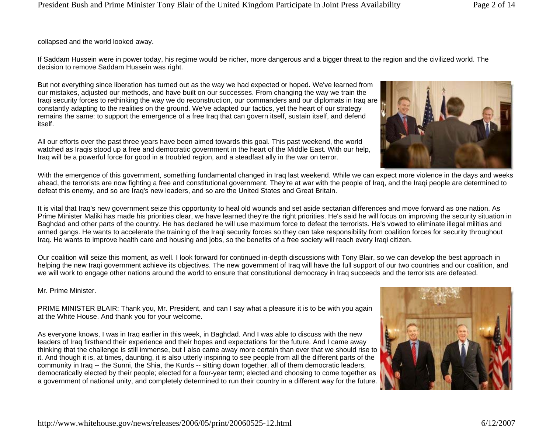collapsed and the world looked away.

If Saddam Hussein were in power today, his regime would be richer, more dangerous and a bigger threat to the region and the civilized world. The decision to remove Saddam Hussein was right.

But not everything since liberation has turned out as the way we had expected or hoped. We've learned from our mistakes, adjusted our methods, and have built on our successes. From changing the way we train the Iraqi security forces to rethinking the way we do reconstruction, our commanders and our diplomats in Iraq are constantly adapting to the realities on the ground. We've adapted our tactics, yet the heart of our strategy remains the same: to support the emergence of a free Iraq that can govern itself, sustain itself, and defend itself.

All our efforts over the past three years have been aimed towards this goal. This past weekend, the world watched as Iraqis stood up a free and democratic government in the heart of the Middle East. With our help, Iraq will be a powerful force for good in a troubled region, and a steadfast ally in the war on terror.

With the emergence of this government, something fundamental changed in Iraq last weekend. While we can expect more violence in the days and weeks ahead, the terrorists are now fighting a free and constitutional government. They're at war with the people of Iraq, and the Iraqi people are determined to defeat this enemy, and so are Iraq's new leaders, and so are the United States and Great Britain.

It is vital that Iraq's new government seize this opportunity to heal old wounds and set aside sectarian differences and move forward as one nation. As Prime Minister Maliki has made his priorities clear, we have learned they're the right priorities. He's said he will focus on improving the security situation in Baghdad and other parts of the country. He has declared he will use maximum force to defeat the terrorists. He's vowed to eliminate illegal militias and armed gangs. He wants to accelerate the training of the Iraqi security forces so they can take responsibility from coalition forces for security throughout Iraq. He wants to improve health care and housing and jobs, so the benefits of a free society will reach every Iraqi citizen.

Our coalition will seize this moment, as well. I look forward for continued in-depth discussions with Tony Blair, so we can develop the best approach in helping the new Iraqi government achieve its objectives. The new government of Iraq will have the full support of our two countries and our coalition, and we will work to engage other nations around the world to ensure that constitutional democracy in Iraq succeeds and the terrorists are defeated.

Mr. Prime Minister.

PRIME MINISTER BLAIR: Thank you, Mr. President, and can I say what a pleasure it is to be with you again at the White House. And thank you for your welcome.

As everyone knows, I was in Iraq earlier in this week, in Baghdad. And I was able to discuss with the new leaders of Iraq firsthand their experience and their hopes and expectations for the future. And I came away thinking that the challenge is still immense, but I also came away more certain than ever that we should rise to it. And though it is, at times, daunting, it is also utterly inspiring to see people from all the different parts of the community in Iraq -- the Sunni, the Shia, the Kurds -- sitting down together, all of them democratic leaders, democratically elected by their people; elected for a four-year term; elected and choosing to come together as a government of national unity, and completely determined to run their country in a different way for the future.





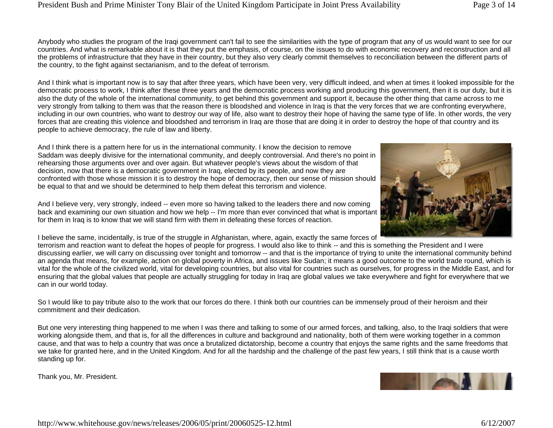Anybody who studies the program of the Iraqi government can't fail to see the similarities with the type of program that any of us would want to see for our countries. And what is remarkable about it is that they put the emphasis, of course, on the issues to do with economic recovery and reconstruction and all the problems of infrastructure that they have in their country, but they also very clearly commit themselves to reconciliation between the different parts of the country, to the fight against sectarianism, and to the defeat of terrorism.

And I think what is important now is to say that after three years, which have been very, very difficult indeed, and when at times it looked impossible for the democratic process to work, I think after these three years and the democratic process working and producing this government, then it is our duty, but it is also the duty of the whole of the international community, to get behind this government and support it, because the other thing that came across to me very strongly from talking to them was that the reason there is bloodshed and violence in Iraq is that the very forces that we are confronting everywhere, including in our own countries, who want to destroy our way of life, also want to destroy their hope of having the same type of life. In other words, the very forces that are creating this violence and bloodshed and terrorism in Iraq are those that are doing it in order to destroy the hope of that country and its people to achieve democracy, the rule of law and liberty.

And I think there is a pattern here for us in the international community. I know the decision to remove Saddam was deeply divisive for the international community, and deeply controversial. And there's no point in rehearsing those arguments over and over again. But whatever people's views about the wisdom of that decision, now that there is a democratic government in Iraq, elected by its people, and now they are confronted with those whose mission it is to destroy the hope of democracy, then our sense of mission should be equal to that and we should be determined to help them defeat this terrorism and violence.

And I believe very, very strongly, indeed -- even more so having talked to the leaders there and now coming back and examining our own situation and how we help -- I'm more than ever convinced that what is important for them in Iraq is to know that we will stand firm with them in defeating these forces of reaction.

I believe the same, incidentally, is true of the struggle in Afghanistan, where, again, exactly the same forces of

terrorism and reaction want to defeat the hopes of people for progress. I would also like to think -- and this is something the President and I were discussing earlier, we will carry on discussing over tonight and tomorrow -- and that is the importance of trying to unite the international community behind an agenda that means, for example, action on global poverty in Africa, and issues like Sudan; it means a good outcome to the world trade round, which is vital for the whole of the civilized world, vital for developing countries, but also vital for countries such as ourselves, for progress in the Middle East, and for ensuring that the global values that people are actually struggling for today in Iraq are global values we take everywhere and fight for everywhere that we can in our world today.

So I would like to pay tribute also to the work that our forces do there. I think both our countries can be immensely proud of their heroism and their commitment and their dedication.

But one very interesting thing happened to me when I was there and talking to some of our armed forces, and talking, also, to the Iraqi soldiers that were working alongside them, and that is, for all the differences in culture and background and nationality, both of them were working together in a common cause, and that was to help a country that was once a brutalized dictatorship, become a country that enjoys the same rights and the same freedoms that we take for granted here, and in the United Kingdom. And for all the hardship and the challenge of the past few years, I still think that is a cause worth standing up for.

Thank you, Mr. President.





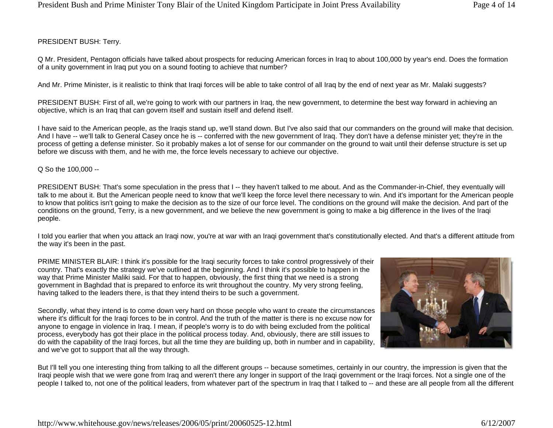# PRESIDENT BUSH: Terry.

Q Mr. President, Pentagon officials have talked about prospects for reducing American forces in Iraq to about 100,000 by year's end. Does the formation of a unity government in Iraq put you on a sound footing to achieve that number?

And Mr. Prime Minister, is it realistic to think that Iraqi forces will be able to take control of all Iraq by the end of next year as Mr. Malaki suggests?

PRESIDENT BUSH: First of all, we're going to work with our partners in Iraq, the new government, to determine the best way forward in achieving an objective, which is an Iraq that can govern itself and sustain itself and defend itself.

I have said to the American people, as the Iraqis stand up, we'll stand down. But I've also said that our commanders on the ground will make that decision. And I have -- we'll talk to General Casey once he is -- conferred with the new government of Iraq. They don't have a defense minister yet; they're in the process of getting a defense minister. So it probably makes a lot of sense for our commander on the ground to wait until their defense structure is set up before we discuss with them, and he with me, the force levels necessary to achieve our objective.

### Q So the 100,000 --

PRESIDENT BUSH: That's some speculation in the press that I -- they haven't talked to me about. And as the Commander-in-Chief, they eventually will talk to me about it. But the American people need to know that we'll keep the force level there necessary to win. And it's important for the American people to know that politics isn't going to make the decision as to the size of our force level. The conditions on the ground will make the decision. And part of the conditions on the ground, Terry, is a new government, and we believe the new government is going to make a big difference in the lives of the Iraqi people.

I told you earlier that when you attack an Iraqi now, you're at war with an Iraqi government that's constitutionally elected. And that's a different attitude from the way it's been in the past.

PRIME MINISTER BLAIR: I think it's possible for the Iraqi security forces to take control progressively of their country. That's exactly the strategy we've outlined at the beginning. And I think it's possible to happen in the way that Prime Minister Maliki said. For that to happen, obviously, the first thing that we need is a strong government in Baghdad that is prepared to enforce its writ throughout the country. My very strong feeling, having talked to the leaders there, is that they intend theirs to be such a government.

Secondly, what they intend is to come down very hard on those people who want to create the circumstances where it's difficult for the Iraqi forces to be in control. And the truth of the matter is there is no excuse now for anyone to engage in violence in Iraq. I mean, if people's worry is to do with being excluded from the political process, everybody has got their place in the political process today. And, obviously, there are still issues to do with the capability of the Iraqi forces, but all the time they are building up, both in number and in capability, and we've got to support that all the way through.



But I'll tell you one interesting thing from talking to all the different groups -- because sometimes, certainly in our country, the impression is given that the Iraqi people wish that we were gone from Iraq and weren't there any longer in support of the Iraqi government or the Iraqi forces. Not a single one of the people I talked to, not one of the political leaders, from whatever part of the spectrum in Iraq that I talked to -- and these are all people from all the different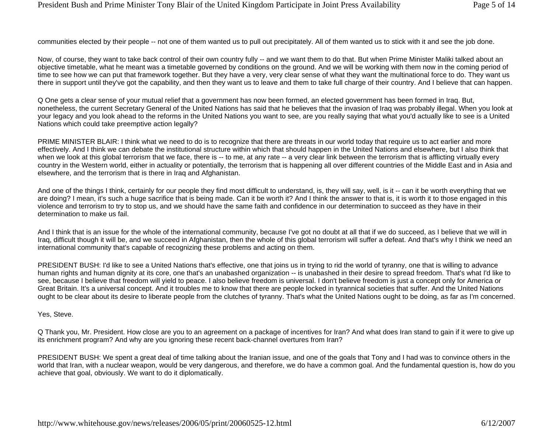communities elected by their people -- not one of them wanted us to pull out precipitately. All of them wanted us to stick with it and see the job done.

Now, of course, they want to take back control of their own country fully -- and we want them to do that. But when Prime Minister Maliki talked about an objective timetable, what he meant was a timetable governed by conditions on the ground. And we will be working with them now in the coming period of time to see how we can put that framework together. But they have a very, very clear sense of what they want the multinational force to do. They want us there in support until they've got the capability, and then they want us to leave and them to take full charge of their country. And I believe that can happen.

Q One gets a clear sense of your mutual relief that a government has now been formed, an elected government has been formed in Iraq. But, nonetheless, the current Secretary General of the United Nations has said that he believes that the invasion of Iraq was probably illegal. When you look at your legacy and you look ahead to the reforms in the United Nations you want to see, are you really saying that what you'd actually like to see is a United Nations which could take preemptive action legally?

PRIME MINISTER BLAIR: I think what we need to do is to recognize that there are threats in our world today that require us to act earlier and more effectively. And I think we can debate the institutional structure within which that should happen in the United Nations and elsewhere, but I also think that when we look at this global terrorism that we face, there is -- to me, at any rate -- a very clear link between the terrorism that is afflicting virtually every country in the Western world, either in actuality or potentially, the terrorism that is happening all over different countries of the Middle East and in Asia and elsewhere, and the terrorism that is there in Iraq and Afghanistan.

And one of the things I think, certainly for our people they find most difficult to understand, is, they will say, well, is it -- can it be worth everything that we are doing? I mean, it's such a huge sacrifice that is being made. Can it be worth it? And I think the answer to that is, it is worth it to those engaged in this violence and terrorism to try to stop us, and we should have the same faith and confidence in our determination to succeed as they have in their determination to make us fail.

And I think that is an issue for the whole of the international community, because I've got no doubt at all that if we do succeed, as I believe that we will in Iraq, difficult though it will be, and we succeed in Afghanistan, then the whole of this global terrorism will suffer a defeat. And that's why I think we need an international community that's capable of recognizing these problems and acting on them.

PRESIDENT BUSH: I'd like to see a United Nations that's effective, one that joins us in trying to rid the world of tyranny, one that is willing to advance human rights and human dignity at its core, one that's an unabashed organization -- is unabashed in their desire to spread freedom. That's what I'd like to see, because I believe that freedom will yield to peace. I also believe freedom is universal. I don't believe freedom is just a concept only for America or Great Britain. It's a universal concept. And it troubles me to know that there are people locked in tyrannical societies that suffer. And the United Nations ought to be clear about its desire to liberate people from the clutches of tyranny. That's what the United Nations ought to be doing, as far as I'm concerned.

#### Yes, Steve.

Q Thank you, Mr. President. How close are you to an agreement on a package of incentives for Iran? And what does Iran stand to gain if it were to give up its enrichment program? And why are you ignoring these recent back-channel overtures from Iran?

PRESIDENT BUSH: We spent a great deal of time talking about the Iranian issue, and one of the goals that Tony and I had was to convince others in the world that Iran, with a nuclear weapon, would be very dangerous, and therefore, we do have a common goal. And the fundamental question is, how do you achieve that goal, obviously. We want to do it diplomatically.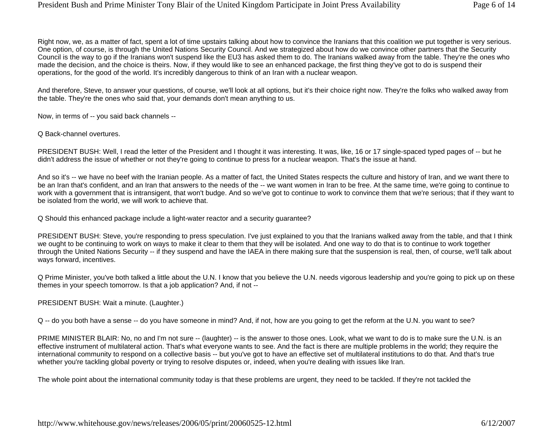Right now, we, as a matter of fact, spent a lot of time upstairs talking about how to convince the Iranians that this coalition we put together is very serious. One option, of course, is through the United Nations Security Council. And we strategized about how do we convince other partners that the Security Council is the way to go if the Iranians won't suspend like the EU3 has asked them to do. The Iranians walked away from the table. They're the ones who made the decision, and the choice is theirs. Now, if they would like to see an enhanced package, the first thing they've got to do is suspend their operations, for the good of the world. It's incredibly dangerous to think of an Iran with a nuclear weapon.

And therefore, Steve, to answer your questions, of course, we'll look at all options, but it's their choice right now. They're the folks who walked away from the table. They're the ones who said that, your demands don't mean anything to us.

Now, in terms of -- you said back channels --

Q Back-channel overtures.

PRESIDENT BUSH: Well, I read the letter of the President and I thought it was interesting. It was, like, 16 or 17 single-spaced typed pages of -- but he didn't address the issue of whether or not they're going to continue to press for a nuclear weapon. That's the issue at hand.

And so it's -- we have no beef with the Iranian people. As a matter of fact, the United States respects the culture and history of Iran, and we want there to be an Iran that's confident, and an Iran that answers to the needs of the -- we want women in Iran to be free. At the same time, we're going to continue to work with a government that is intransigent, that won't budge. And so we've got to continue to work to convince them that we're serious; that if they want to be isolated from the world, we will work to achieve that.

Q Should this enhanced package include a light-water reactor and a security guarantee?

PRESIDENT BUSH: Steve, you're responding to press speculation. I've just explained to you that the Iranians walked away from the table, and that I think we ought to be continuing to work on ways to make it clear to them that they will be isolated. And one way to do that is to continue to work together through the United Nations Security -- if they suspend and have the IAEA in there making sure that the suspension is real, then, of course, we'll talk about ways forward, incentives.

Q Prime Minister, you've both talked a little about the U.N. I know that you believe the U.N. needs vigorous leadership and you're going to pick up on these themes in your speech tomorrow. Is that a job application? And, if not --

PRESIDENT BUSH: Wait a minute. (Laughter.)

Q -- do you both have a sense -- do you have someone in mind? And, if not, how are you going to get the reform at the U.N. you want to see?

PRIME MINISTER BLAIR: No, no and I'm not sure -- (laughter) -- is the answer to those ones. Look, what we want to do is to make sure the U.N. is an effective instrument of multilateral action. That's what everyone wants to see. And the fact is there are multiple problems in the world; they require the international community to respond on a collective basis -- but you've got to have an effective set of multilateral institutions to do that. And that's true whether you're tackling global poverty or trying to resolve disputes or, indeed, when you're dealing with issues like Iran.

The whole point about the international community today is that these problems are urgent, they need to be tackled. If they're not tackled the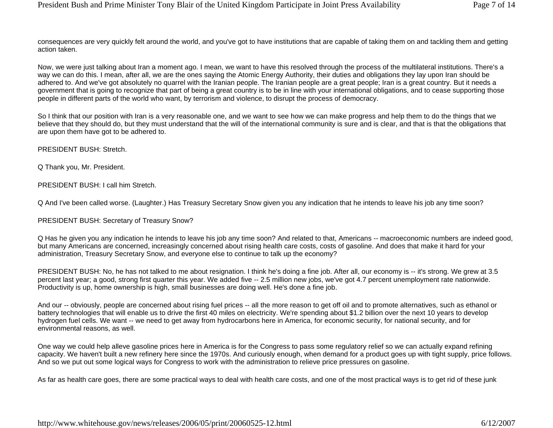consequences are very quickly felt around the world, and you've got to have institutions that are capable of taking them on and tackling them and getting action taken.

Now, we were just talking about Iran a moment ago. I mean, we want to have this resolved through the process of the multilateral institutions. There's a way we can do this. I mean, after all, we are the ones saying the Atomic Energy Authority, their duties and obligations they lay upon Iran should be adhered to. And we've got absolutely no quarrel with the Iranian people. The Iranian people are a great people; Iran is a great country. But it needs a government that is going to recognize that part of being a great country is to be in line with your international obligations, and to cease supporting those people in different parts of the world who want, by terrorism and violence, to disrupt the process of democracy.

So I think that our position with Iran is a very reasonable one, and we want to see how we can make progress and help them to do the things that we believe that they should do, but they must understand that the will of the international community is sure and is clear, and that is that the obligations that are upon them have got to be adhered to.

PRESIDENT BUSH: Stretch.

Q Thank you, Mr. President.

PRESIDENT BUSH: I call him Stretch.

Q And I've been called worse. (Laughter.) Has Treasury Secretary Snow given you any indication that he intends to leave his job any time soon?

#### PRESIDENT BUSH: Secretary of Treasury Snow?

Q Has he given you any indication he intends to leave his job any time soon? And related to that, Americans -- macroeconomic numbers are indeed good, but many Americans are concerned, increasingly concerned about rising health care costs, costs of gasoline. And does that make it hard for your administration, Treasury Secretary Snow, and everyone else to continue to talk up the economy?

PRESIDENT BUSH: No, he has not talked to me about resignation. I think he's doing a fine job. After all, our economy is -- it's strong. We grew at 3.5 percent last year; a good, strong first quarter this year. We added five -- 2.5 million new jobs, we've got 4.7 percent unemployment rate nationwide. Productivity is up, home ownership is high, small businesses are doing well. He's done a fine job.

And our -- obviously, people are concerned about rising fuel prices -- all the more reason to get off oil and to promote alternatives, such as ethanol or battery technologies that will enable us to drive the first 40 miles on electricity. We're spending about \$1.2 billion over the next 10 years to develop hydrogen fuel cells. We want -- we need to get away from hydrocarbons here in America, for economic security, for national security, and for environmental reasons, as well.

One way we could help alleve gasoline prices here in America is for the Congress to pass some regulatory relief so we can actually expand refining capacity. We haven't built a new refinery here since the 1970s. And curiously enough, when demand for a product goes up with tight supply, price follows. And so we put out some logical ways for Congress to work with the administration to relieve price pressures on gasoline.

As far as health care goes, there are some practical ways to deal with health care costs, and one of the most practical ways is to get rid of these junk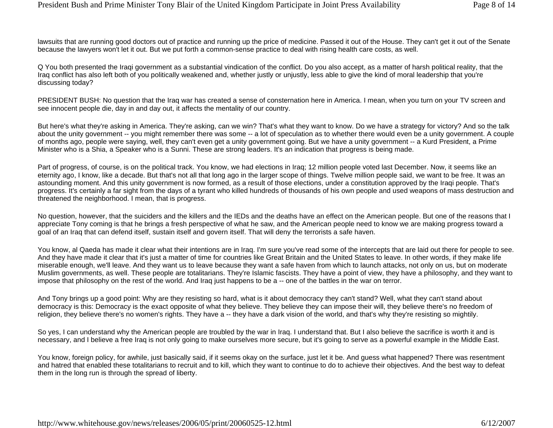lawsuits that are running good doctors out of practice and running up the price of medicine. Passed it out of the House. They can't get it out of the Senate because the lawyers won't let it out. But we put forth a common-sense practice to deal with rising health care costs, as well.

Q You both presented the Iraqi government as a substantial vindication of the conflict. Do you also accept, as a matter of harsh political reality, that the Iraq conflict has also left both of you politically weakened and, whether justly or unjustly, less able to give the kind of moral leadership that you're discussing today?

PRESIDENT BUSH: No question that the Iraq war has created a sense of consternation here in America. I mean, when you turn on your TV screen and see innocent people die, day in and day out, it affects the mentality of our country.

But here's what they're asking in America. They're asking, can we win? That's what they want to know. Do we have a strategy for victory? And so the talk about the unity government -- you might remember there was some -- a lot of speculation as to whether there would even be a unity government. A couple of months ago, people were saying, well, they can't even get a unity government going. But we have a unity government -- a Kurd President, a Prime Minister who is a Shia, a Speaker who is a Sunni. These are strong leaders. It's an indication that progress is being made.

Part of progress, of course, is on the political track. You know, we had elections in Iraq; 12 million people voted last December. Now, it seems like an eternity ago, I know, like a decade. But that's not all that long ago in the larger scope of things. Twelve million people said, we want to be free. It was an astounding moment. And this unity government is now formed, as a result of those elections, under a constitution approved by the Iraqi people. That's progress. It's certainly a far sight from the days of a tyrant who killed hundreds of thousands of his own people and used weapons of mass destruction and threatened the neighborhood. I mean, that is progress.

No question, however, that the suiciders and the killers and the IEDs and the deaths have an effect on the American people. But one of the reasons that I appreciate Tony coming is that he brings a fresh perspective of what he saw, and the American people need to know we are making progress toward a goal of an Iraq that can defend itself, sustain itself and govern itself. That will deny the terrorists a safe haven.

You know, al Qaeda has made it clear what their intentions are in Iraq. I'm sure you've read some of the intercepts that are laid out there for people to see. And they have made it clear that it's just a matter of time for countries like Great Britain and the United States to leave. In other words, if they make life miserable enough, we'll leave. And they want us to leave because they want a safe haven from which to launch attacks, not only on us, but on moderate Muslim governments, as well. These people are totalitarians. They're Islamic fascists. They have a point of view, they have a philosophy, and they want to impose that philosophy on the rest of the world. And Iraq just happens to be a -- one of the battles in the war on terror.

And Tony brings up a good point: Why are they resisting so hard, what is it about democracy they can't stand? Well, what they can't stand about democracy is this: Democracy is the exact opposite of what they believe. They believe they can impose their will, they believe there's no freedom of religion, they believe there's no women's rights. They have a -- they have a dark vision of the world, and that's why they're resisting so mightily.

So yes, I can understand why the American people are troubled by the war in Iraq. I understand that. But I also believe the sacrifice is worth it and is necessary, and I believe a free Iraq is not only going to make ourselves more secure, but it's going to serve as a powerful example in the Middle East.

You know, foreign policy, for awhile, just basically said, if it seems okay on the surface, just let it be. And guess what happened? There was resentment and hatred that enabled these totalitarians to recruit and to kill, which they want to continue to do to achieve their objectives. And the best way to defeat them in the long run is through the spread of liberty.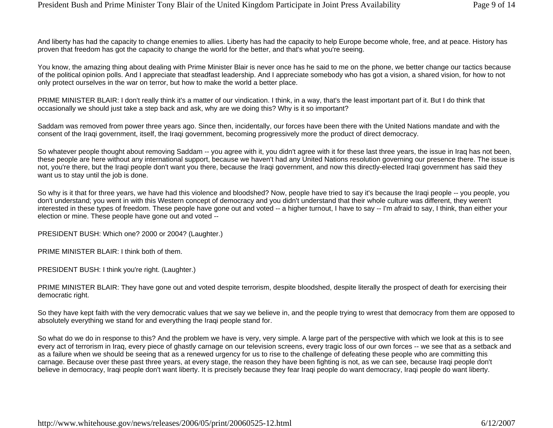And liberty has had the capacity to change enemies to allies. Liberty has had the capacity to help Europe become whole, free, and at peace. History has proven that freedom has got the capacity to change the world for the better, and that's what you're seeing.

You know, the amazing thing about dealing with Prime Minister Blair is never once has he said to me on the phone, we better change our tactics because of the political opinion polls. And I appreciate that steadfast leadership. And I appreciate somebody who has got a vision, a shared vision, for how to not only protect ourselves in the war on terror, but how to make the world a better place.

PRIME MINISTER BLAIR: I don't really think it's a matter of our vindication. I think, in a way, that's the least important part of it. But I do think that occasionally we should just take a step back and ask, why are we doing this? Why is it so important?

Saddam was removed from power three years ago. Since then, incidentally, our forces have been there with the United Nations mandate and with the consent of the Iraqi government, itself, the Iraqi government, becoming progressively more the product of direct democracy.

So whatever people thought about removing Saddam -- you agree with it, you didn't agree with it for these last three years, the issue in Iraq has not been, these people are here without any international support, because we haven't had any United Nations resolution governing our presence there. The issue is not, you're there, but the Iraqi people don't want you there, because the Iraqi government, and now this directly-elected Iraqi government has said they want us to stay until the job is done.

So why is it that for three years, we have had this violence and bloodshed? Now, people have tried to say it's because the Iraqi people -- you people, you don't understand; you went in with this Western concept of democracy and you didn't understand that their whole culture was different, they weren't interested in these types of freedom. These people have gone out and voted -- a higher turnout, I have to say -- I'm afraid to say, I think, than either your election or mine. These people have gone out and voted --

PRESIDENT BUSH: Which one? 2000 or 2004? (Laughter.)

PRIME MINISTER BLAIR: I think both of them.

PRESIDENT BUSH: I think you're right. (Laughter.)

PRIME MINISTER BLAIR: They have gone out and voted despite terrorism, despite bloodshed, despite literally the prospect of death for exercising their democratic right.

So they have kept faith with the very democratic values that we say we believe in, and the people trying to wrest that democracy from them are opposed to absolutely everything we stand for and everything the Iraqi people stand for.

So what do we do in response to this? And the problem we have is very, very simple. A large part of the perspective with which we look at this is to see every act of terrorism in Iraq, every piece of ghastly carnage on our television screens, every tragic loss of our own forces -- we see that as a setback and as a failure when we should be seeing that as a renewed urgency for us to rise to the challenge of defeating these people who are committing this carnage. Because over these past three years, at every stage, the reason they have been fighting is not, as we can see, because Iraqi people don't believe in democracy, Iraqi people don't want liberty. It is precisely because they fear Iraqi people do want democracy, Iraqi people do want liberty.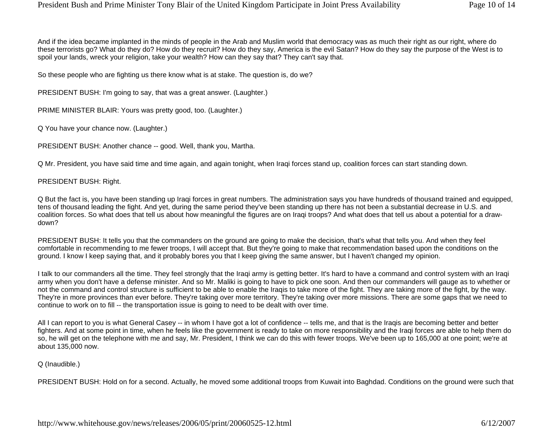And if the idea became implanted in the minds of people in the Arab and Muslim world that democracy was as much their right as our right, where do these terrorists go? What do they do? How do they recruit? How do they say, America is the evil Satan? How do they say the purpose of the West is to spoil your lands, wreck your religion, take your wealth? How can they say that? They can't say that.

So these people who are fighting us there know what is at stake. The question is, do we?

PRESIDENT BUSH: I'm going to say, that was a great answer. (Laughter.)

PRIME MINISTER BLAIR: Yours was pretty good, too. (Laughter.)

Q You have your chance now. (Laughter.)

PRESIDENT BUSH: Another chance -- good. Well, thank you, Martha.

Q Mr. President, you have said time and time again, and again tonight, when Iraqi forces stand up, coalition forces can start standing down.

#### PRESIDENT BUSH: Right.

Q But the fact is, you have been standing up Iraqi forces in great numbers. The administration says you have hundreds of thousand trained and equipped, tens of thousand leading the fight. And yet, during the same period they've been standing up there has not been a substantial decrease in U.S. and coalition forces. So what does that tell us about how meaningful the figures are on Iraqi troops? And what does that tell us about a potential for a drawdown?

PRESIDENT BUSH: It tells you that the commanders on the ground are going to make the decision, that's what that tells you. And when they feel comfortable in recommending to me fewer troops, I will accept that. But they're going to make that recommendation based upon the conditions on the ground. I know I keep saying that, and it probably bores you that I keep giving the same answer, but I haven't changed my opinion.

I talk to our commanders all the time. They feel strongly that the Iraqi army is getting better. It's hard to have a command and control system with an Iraqi army when you don't have a defense minister. And so Mr. Maliki is going to have to pick one soon. And then our commanders will gauge as to whether or not the command and control structure is sufficient to be able to enable the Iraqis to take more of the fight. They are taking more of the fight, by the way. They're in more provinces than ever before. They're taking over more territory. They're taking over more missions. There are some gaps that we need to continue to work on to fill -- the transportation issue is going to need to be dealt with over time.

All I can report to you is what General Casey -- in whom I have got a lot of confidence -- tells me, and that is the Iraqis are becoming better and better fighters. And at some point in time, when he feels like the government is ready to take on more responsibility and the Iraqi forces are able to help them do so, he will get on the telephone with me and say, Mr. President, I think we can do this with fewer troops. We've been up to 165,000 at one point; we're at about 135,000 now.

#### Q (Inaudible.)

PRESIDENT BUSH: Hold on for a second. Actually, he moved some additional troops from Kuwait into Baghdad. Conditions on the ground were such that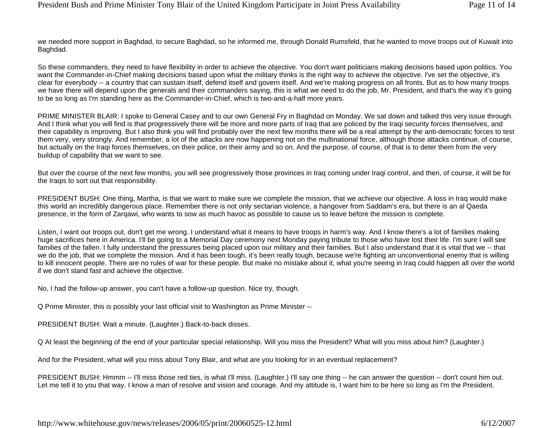we needed more support in Baghdad, to secure Baghdad, so he informed me, through Donald Rumsfeld, that he wanted to move troops out of Kuwait into Baghdad.

So these commanders, they need to have flexibility in order to achieve the objective. You don't want politicians making decisions based upon politics. You want the Commander-in-Chief making decisions based upon what the military thinks is the right way to achieve the objective. I've set the objective, it's clear for everybody -- a country that can sustain itself, defend itself and govern itself. And we're making progress on all fronts. But as to how many troops we have there will depend upon the generals and their commanders saying, this is what we need to do the job, Mr. President, and that's the way it's going to be so long as I'm standing here as the Commander-in-Chief, which is two-and-a-half more years.

PRIME MINISTER BLAIR: I spoke to General Casey and to our own General Fry in Baghdad on Monday. We sat down and talked this very issue through. And I think what you will find is that progressively there will be more and more parts of Iraq that are policed by the Iraqi security forces themselves, and their capability is improving. But I also think you will find probably over the next few months there will be a real attempt by the anti-democratic forces to test them very, very strongly. And remember, a lot of the attacks are now happening not on the multinational force, although those attacks continue, of course, but actually on the Iraqi forces themselves, on their police, on their army and so on. And the purpose, of course, of that is to deter them from the very buildup of capability that we want to see.

But over the course of the next few months, you will see progressively those provinces in Iraq coming under Iraqi control, and then, of course, it will be for the Iraqis to sort out that responsibility.

PRESIDENT BUSH: One thing, Martha, is that we want to make sure we complete the mission, that we achieve our objective. A loss in Iraq would make this world an incredibly dangerous place. Remember there is not only sectarian violence, a hangover from Saddam's era, but there is an al Qaeda presence, in the form of Zarqawi, who wants to sow as much havoc as possible to cause us to leave before the mission is complete.

Listen, I want our troops out, don't get me wrong. I understand what it means to have troops in harm's way. And I know there's a lot of families making huge sacrifices here in America. I'll be going to a Memorial Day ceremony next Monday paying tribute to those who have lost their life. I'm sure I will see families of the fallen. I fully understand the pressures being placed upon our military and their families. But I also understand that it is vital that we -- that we do the job, that we complete the mission. And it has been tough, it's been really tough, because we're fighting an unconventional enemy that is willing to kill innocent people. There are no rules of war for these people. But make no mistake about it, what you're seeing in Iraq could happen all over the world if we don't stand fast and achieve the objective.

No, I had the follow-up answer, you can't have a follow-up question. Nice try, though.

Q Prime Minister, this is possibly your last official visit to Washington as Prime Minister --

PRESIDENT BUSH: Wait a minute. (Laughter.) Back-to-back disses.

Q At least the beginning of the end of your particular special relationship. Will you miss the President? What will you miss about him? (Laughter.)

And for the President, what will you miss about Tony Blair, and what are you looking for in an eventual replacement?

PRESIDENT BUSH: Hmmm -- I'll miss those red ties, is what I'll miss. (Laughter.) I'll say one thing -- he can answer the question -- don't count him out. Let me tell it to you that way. I know a man of resolve and vision and courage. And my attitude is, I want him to be here so long as I'm the President.

http://www.whitehouse. gov/news/releases/2006/05/print/20060525-12.html 6/12/2007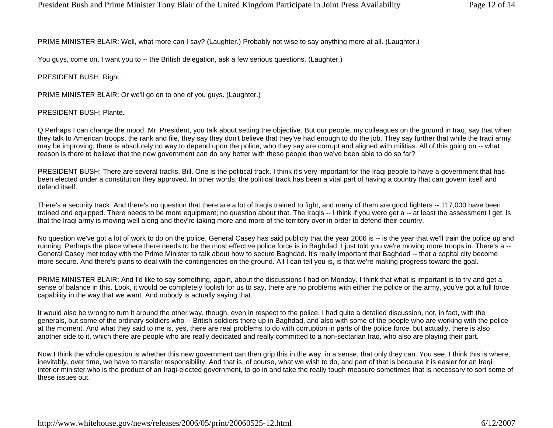PRIME MINISTER BLAIR: Well, what more can I say? (Laughter.) Probably not wise to say anything more at all. (Laughter.)

You guys, come on, I want you to -- the British delegation, ask a few serious questions. (Laughter.)

PRESIDENT BUSH: Right.

PRIME MINISTER BLAIR: Or we'll go on to one of you guys. (Laughter.)

#### PRESIDENT BUSH: Plante.

Q Perhaps I can change the mood. Mr. President, you talk about setting the objective. But our people, my colleagues on the ground in Iraq, say that when they talk to American troops, the rank and file, they say they don't believe that they've had enough to do the job. They say further that while the Iraqi army may be improving, there is absolutely no way to depend upon the police, who they say are corrupt and aligned with militias. All of this going on -- what reason is there to believe that the new government can do any better with these people than we've been able to do so far?

PRESIDENT BUSH: There are several tracks, Bill. One is the political track. I think it's very important for the Iraqi people to have a government that has been elected under a constitution they approved. In other words, the political track has been a vital part of having a country that can govern itself and defend itself.

There's a security track. And there's no question that there are a lot of Iraqis trained to fight, and many of them are good fighters -- 117,000 have been trained and equipped. There needs to be more equipment; no question about that. The Iraqis -- I think if you were get a -- at least the assessment I get, is that the Iraqi army is moving well along and they're taking more and more of the territory over in order to defend their country.

No question we've got a lot of work to do on the police. General Casey has said publicly that the year 2006 is -- is the year that we'll train the police up and running. Perhaps the place where there needs to be the most effective police force is in Baghdad. I just told you we're moving more troops in. There's a -- General Casey met today with the Prime Minister to talk about how to secure Baghdad. It's really important that Baghdad -- that a capital city become more secure. And there's plans to deal with the contingencies on the ground. All I can tell you is, is that we're making progress toward the goal.

PRIME MINISTER BLAIR: And I'd like to say something, again, about the discussions I had on Monday. I think that what is important is to try and get a sense of balance in this. Look, it would be completely foolish for us to say, there are no problems with either the police or the army, you've got a full force capability in the way that we want. And nobody is actually saying that.

It would also be wrong to turn it around the other way, though, even in respect to the police. I had quite a detailed discussion, not, in fact, with the generals, but some of the ordinary soldiers who -- British soldiers there up in Baghdad, and also with some of the people who are working with the police at the moment. And what they said to me is, yes, there are real problems to do with corruption in parts of the police force, but actually, there is also another side to it, which there are people who are really dedicated and really committed to a non-sectarian Iraq, who also are playing their part.

Now I think the whole question is whether this new government can then grip this in the way, in a sense, that only they can. You see, I think this is where, inevitably, over time, we have to transfer responsibility. And that is, of course, what we wish to do, and part of that is because it is easier for an Iraqi interior minister who is the product of an Iraqi-elected government, to go in and take the really tough measure sometimes that is necessary to sort some of these issues out.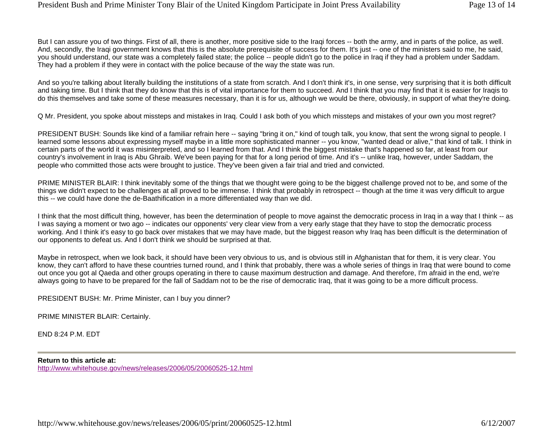But I can assure you of two things. First of all, there is another, more positive side to the Iraqi forces -- both the army, and in parts of the police, as well. And, secondly, the Iraqi government knows that this is the absolute prerequisite of success for them. It's just -- one of the ministers said to me, he said, you should understand, our state was a completely failed state; the police -- people didn't go to the police in Iraq if they had a problem under Saddam. They had a problem if they were in contact with the police because of the way the state was run.

And so you're talking about literally building the institutions of a state from scratch. And I don't think it's, in one sense, very surprising that it is both difficult and taking time. But I think that they do know that this is of vital importance for them to succeed. And I think that you may find that it is easier for Iraqis to do this themselves and take some of these measures necessary, than it is for us, although we would be there, obviously, in support of what they're doing.

Q Mr. President, you spoke about missteps and mistakes in Iraq. Could I ask both of you which missteps and mistakes of your own you most regret?

PRESIDENT BUSH: Sounds like kind of a familiar refrain here -- saying "bring it on," kind of tough talk, you know, that sent the wrong signal to people. I learned some lessons about expressing myself maybe in a little more sophisticated manner -- you know, "wanted dead or alive," that kind of talk. I think in certain parts of the world it was misinterpreted, and so I learned from that. And I think the biggest mistake that's happened so far, at least from our country's involvement in Iraq is Abu Ghraib. We've been paying for that for a long period of time. And it's -- unlike Iraq, however, under Saddam, the people who committed those acts were brought to justice. They've been given a fair trial and tried and convicted.

PRIME MINISTER BLAIR: I think inevitably some of the things that we thought were going to be the biggest challenge proved not to be, and some of the things we didn't expect to be challenges at all proved to be immense. I think that probably in retrospect -- though at the time it was very difficult to argue this -- we could have done the de-Baathification in a more differentiated way than we did.

I think that the most difficult thing, however, has been the determination of people to move against the democratic process in Iraq in a way that I think -- as I was saying a moment or two ago -- indicates our opponents' very clear view from a very early stage that they have to stop the democratic process working. And I think it's easy to go back over mistakes that we may have made, but the biggest reason why Iraq has been difficult is the determination of our opponents to defeat us. And I don't think we should be surprised at that.

Maybe in retrospect, when we look back, it should have been very obvious to us, and is obvious still in Afghanistan that for them, it is very clear. You know, they can't afford to have these countries turned round, and I think that probably, there was a whole series of things in Iraq that were bound to come out once you got al Qaeda and other groups operating in there to cause maximum destruction and damage. And therefore, I'm afraid in the end, we're always going to have to be prepared for the fall of Saddam not to be the rise of democratic Iraq, that it was going to be a more difficult process.

PRESIDENT BUSH: Mr. Prime Minister, can I buy you dinner?

PRIME MINISTER BLAIR: Certainly.

END 8:24 P.M. EDT

**Return to this article at:**

http://www.whitehouse.gov/news/releases/2006/05/20060525-12.html